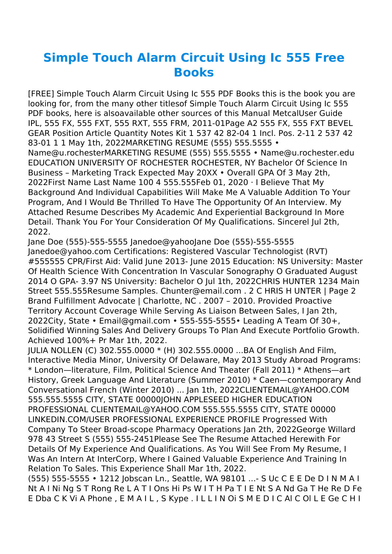## **Simple Touch Alarm Circuit Using Ic 555 Free Books**

[FREE] Simple Touch Alarm Circuit Using Ic 555 PDF Books this is the book you are looking for, from the many other titlesof Simple Touch Alarm Circuit Using Ic 555 PDF books, here is alsoavailable other sources of this Manual MetcalUser Guide IPL, 555 FX, 555 FXT, 555 RXT, 555 FRM, 2011-01Page A2 555 FX, 555 FXT BEVEL GEAR Position Article Quantity Notes Kit 1 537 42 82-04 1 Incl. Pos. 2-11 2 537 42 83-01 1 1 May 1th, 2022MARKETING RESUME (555) 555.5555 •

Name@u.rochesterMARKETING RESUME (555) 555.5555 • Name@u.rochester.edu EDUCATION UNIVERSITY OF ROCHESTER ROCHESTER, NY Bachelor Of Science In Business – Marketing Track Expected May 20XX • Overall GPA Of 3 May 2th, 2022First Name Last Name 100 4 555.555Feb 01, 2020 · I Believe That My Background And Individual Capabilities Will Make Me A Valuable Addition To Your Program, And I Would Be Thrilled To Have The Opportunity Of An Interview. My Attached Resume Describes My Academic And Experiential Background In More Detail. Thank You For Your Consideration Of My Qualifications. Sincerel Jul 2th, 2022.

Jane Doe (555)-555-5555 Janedoe@yahooJane Doe (555)-555-5555 Janedoe@yahoo.com Certifications: Registered Vascular Technologist (RVT) #555555 CPR/First Aid: Valid June 2013- June 2015 Education: NS University: Master Of Health Science With Concentration In Vascular Sonography O Graduated August 2014 O GPA- 3.97 NS University: Bachelor O Jul 1th, 2022CHRIS HUNTER 1234 Main Street 555.555Resume Samples. Chunter@email.com . 2 C HRIS H UNTER | Page 2 Brand Fulfillment Advocate | Charlotte, NC . 2007 – 2010. Provided Proactive Territory Account Coverage While Serving As Liaison Between Sales, I Jan 2th, 2022City, State • Email@gmail.com • 555-555-5555• Leading A Team Of 30+, Solidified Winning Sales And Delivery Groups To Plan And Execute Portfolio Growth. Achieved 100%+ Pr Mar 1th, 2022.

JULIA NOLLEN (C) 302.555.0000 \* (H) 302.555.0000 ...BA Of English And Film, Interactive Media Minor, University Of Delaware, May 2013 Study Abroad Programs: \* London—literature, Film, Political Science And Theater (Fall 2011) \* Athens—art History, Greek Language And Literature (Summer 2010) \* Caen—contemporary And Conversational French (Winter 2010) ... Jan 1th, 2022CLIENTEMAIL@YAHOO.COM 555.555.5555 CITY, STATE 00000JOHN APPLESEED HIGHER EDUCATION PROFESSIONAL CLIENTEMAIL@YAHOO.COM 555.555.5555 CITY, STATE 00000 LINKEDIN.COM/USER PROFESSIONAL EXPERIENCE PROFILE Progressed With Company To Steer Broad-scope Pharmacy Operations Jan 2th, 2022George Willard 978 43 Street S (555) 555-2451Please See The Resume Attached Herewith For Details Of My Experience And Qualifications. As You Will See From My Resume, I Was An Intern At InterCorp, Where I Gained Valuable Experience And Training In Relation To Sales. This Experience Shall Mar 1th, 2022.

(555) 555-5555 • 1212 Jobscan Ln., Seattle, WA 98101 ...- S Uc C E E De D I N M A I Nt A I Ni Ng S T Rong Re L A T I Ons Hi Ps W I T H Pa T I E Nt S A Nd Ga T He Re D Fe E Dba C K Vi A Phone , E M A I L , S Kype . I L L I N Oi S M E D I C Al C Ol L E Ge C H I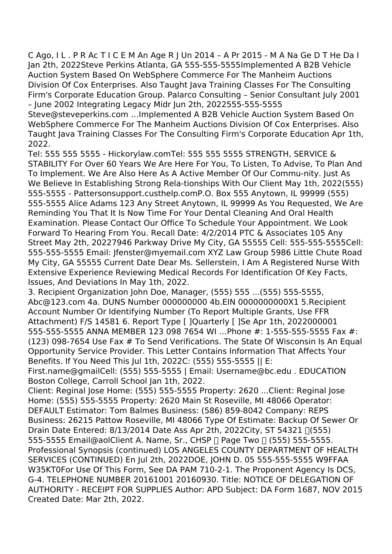C Ago, I L . P R Ac T I C E M An Age R J Un 2014 – A Pr 2015 - M A Na Ge D T He Da I Jan 2th, 2022Steve Perkins Atlanta, GA 555-555-5555Implemented A B2B Vehicle Auction System Based On WebSphere Commerce For The Manheim Auctions Division Of Cox Enterprises. Also Taught Java Training Classes For The Consulting Firm's Corporate Education Group. Palarco Consulting – Senior Consultant July 2001 – June 2002 Integrating Legacy Midr Jun 2th, 2022555-555-5555

Steve@steveperkins.com …Implemented A B2B Vehicle Auction System Based On WebSphere Commerce For The Manheim Auctions Division Of Cox Enterprises. Also Taught Java Training Classes For The Consulting Firm's Corporate Education Apr 1th, 2022.

Tel: 555 555 5555 - Hickorylaw.comTel: 555 555 5555 STRENGTH, SERVICE & STABILITY For Over 60 Years We Are Here For You, To Listen, To Advise, To Plan And To Implement. We Are Also Here As A Active Member Of Our Commu-nity. Just As We Believe In Establishing Strong Rela-tionships With Our Client May 1th, 2022(555) 555-5555 - Pattersonsupport.custhelp.comP.O. Box 555 Anytown, IL 99999 (555) 555-5555 Alice Adams 123 Any Street Anytown, IL 99999 As You Requested, We Are Reminding You That It Is Now Time For Your Dental Cleaning And Oral Health Examination. Please Contact Our Office To Schedule Your Appointment. We Look Forward To Hearing From You. Recall Date: 4/2/2014 PTC & Associates 105 Any Street May 2th, 20227946 Parkway Drive My City, GA 55555 Cell: 555-555-5555Cell: 555-555-5555 Email: Jfenster@myemail.com XYZ Law Group 5986 Little Chute Road My City, GA 55555 Current Date Dear Ms. Sellerstein, I Am A Registered Nurse With Extensive Experience Reviewing Medical Records For Identification Of Key Facts, Issues, And Deviations In May 1th, 2022.

3. Recipient Organization John Doe, Manager, (555) 555 ...(555) 555-5555, Abc@123.com 4a. DUNS Number 000000000 4b.EIN 0000000000X1 5.Recipient Account Number Or Identifying Number (To Report Multiple Grants, Use FFR Attachment) F/S 14581 6. Report Type [ ]Quarterly [ ]Se Apr 1th, 2022000001 555-555-5555 ANNA MEMBER 123 098 7654 WI …Phone #: 1-555-555-5555 Fax #: (123) 098-7654 Use Fax # To Send Verifications. The State Of Wisconsin Is An Equal Opportunity Service Provider. This Letter Contains Information That Affects Your Benefits. If You Need This Jul 1th, 2022C: (555) 555-5555 || E:

First.name@gmailCell: (555) 555-5555 | Email: Username@bc.edu . EDUCATION Boston College, Carroll School Jan 1th, 2022.

Client: Reginal Jose Home: (555) 555-5555 Property: 2620 ...Client: Reginal Jose Home: (555) 555-5555 Property: 2620 Main St Roseville, MI 48066 Operator: DEFAULT Estimator: Tom Balmes Business: (586) 859-8042 Company: REPS Business: 26215 Pattow Roseville, MI 48066 Type Of Estimate: Backup Of Sewer Or Drain Date Entered: 8/13/2014 Date Ass Apr 2th, 2022City, ST 54321 ∏(555) 555-5555 Email@aolClient A. Name, Sr., CHSP | Page Two | (555) 555-5555. Professional Synopsis (continued) LOS ANGELES COUNTY DEPARTMENT OF HEALTH SERVICES (CONTINUED) En Jul 2th, 2022DOE, JOHN D. 05 555-555-5555 W9FFAA W35KT0For Use Of This Form, See DA PAM 710-2-1. The Proponent Agency Is DCS, G-4. TELEPHONE NUMBER 20161001 20160930. Title: NOTICE OF DELEGATION OF AUTHORITY - RECEIPT FOR SUPPLIES Author: APD Subject: DA Form 1687, NOV 2015 Created Date: Mar 2th, 2022.